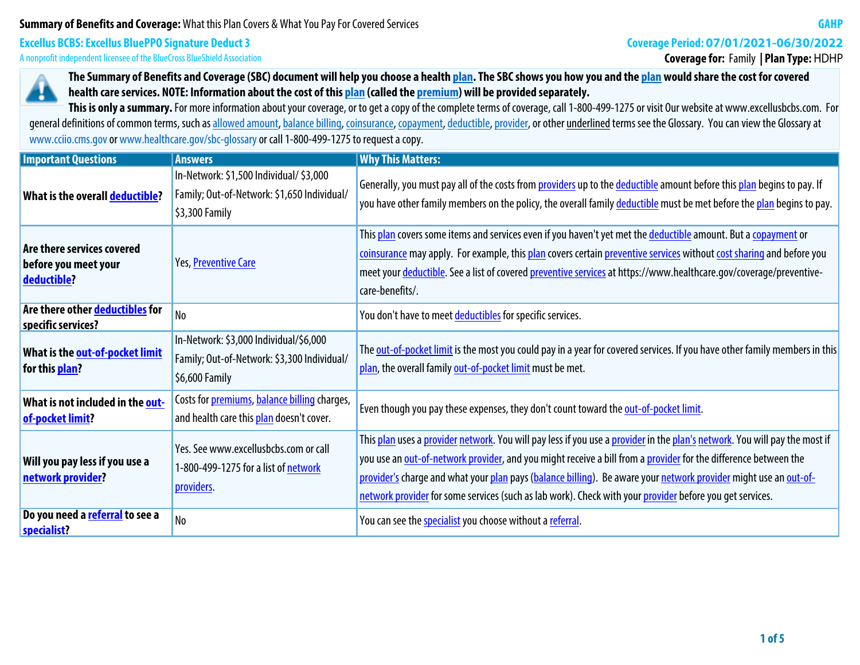### **Summary of Benefits and Coverage: What this Plan Covers & What You Pay For Covered Services**

# **Excellus BCBS: Excellus BluePPO Signature Deduct 3**

**A nonprofit independent licensee of the BlueCross BlueShield Association**

# **Coverage Period: 07/01/2021-06/30/2022**

**Coverage for: Family | Plan Type:** HDHP



**The Summary of Benefits and Coverage (SBC) document will help you choose a health plan. The SBC shows you how you and the plan would share the cost for covered health care services. NOTE: Information about the cost of this plan (called the premium) will be provided separately.**

This is only a summary. For more information about your coverage, or to get a copy of the complete terms of coverage, call 1-800-499-1275 or visit Our website at www.excellusbcbs.com. For general definitions of common terms, such as allowed amount, balance billing, coinsurance, copayment, deductible, provider, or other underlined terms see the Glossary. You can view the Glossary at **www.cciio.cms.gov or www.healthcare.gov/sbc-glossary or call 1-800-499-1275 to request a copy.**

| <b>Important Questions</b>                                        | <b>Answers</b>                                                                                           | <b>Why This Matters:</b>                                                                                                                                                                                                                                                                                                                                                                                                                                                      |
|-------------------------------------------------------------------|----------------------------------------------------------------------------------------------------------|-------------------------------------------------------------------------------------------------------------------------------------------------------------------------------------------------------------------------------------------------------------------------------------------------------------------------------------------------------------------------------------------------------------------------------------------------------------------------------|
| What is the overall deductible?                                   | In-Network: \$1,500 Individual/ \$3,000<br>Family; Out-of-Network: \$1,650 Individual/<br>\$3,300 Family | Generally, you must pay all of the costs from providers up to the deductible amount before this plan begins to pay. If<br>you have other family members on the policy, the overall family deductible must be met before the plan begins to pay.                                                                                                                                                                                                                               |
| Are there services covered<br>before you meet your<br>deductible? | Yes, Preventive Care                                                                                     | This plan covers some items and services even if you haven't yet met the deductible amount. But a copayment or<br>coinsurance may apply. For example, this plan covers certain preventive services without cost sharing and before you<br>meet your deductible. See a list of covered preventive services at https://www.healthcare.gov/coverage/preventive-<br>care-benefits/.                                                                                               |
| Are there other deductibles for<br>specific services?             | No                                                                                                       | You don't have to meet deductibles for specific services.                                                                                                                                                                                                                                                                                                                                                                                                                     |
| What is the out-of-pocket limit<br>for this plan?                 | In-Network: \$3,000 Individual/\$6,000<br>Family; Out-of-Network: \$3,300 Individual/<br>\$6,600 Family  | The out-of-pocket limit is the most you could pay in a year for covered services. If you have other family members in this<br>plan, the overall family out-of-pocket limit must be met.                                                                                                                                                                                                                                                                                       |
| What is not included in the out-<br>of-pocket limit?              | Costs for premiums, balance billing charges,<br>and health care this plan doesn't cover.                 | Even though you pay these expenses, they don't count toward the out-of-pocket limit.                                                                                                                                                                                                                                                                                                                                                                                          |
| Will you pay less if you use a<br>network provider?               | Yes. See www.excellusbcbs.com or call<br>1-800-499-1275 for a list of network<br>providers.              | This plan uses a provider network. You will pay less if you use a provider in the plan's network. You will pay the most if<br>you use an out-of-network provider, and you might receive a bill from a provider for the difference between the<br>provider's charge and what your plan pays (balance billing). Be aware your network provider might use an out-of-<br>network provider for some services (such as lab work). Check with your provider before you get services. |
| Do you need a referral to see a<br>N <sub>o</sub><br>specialist?  |                                                                                                          | You can see the specialist you choose without a referral.                                                                                                                                                                                                                                                                                                                                                                                                                     |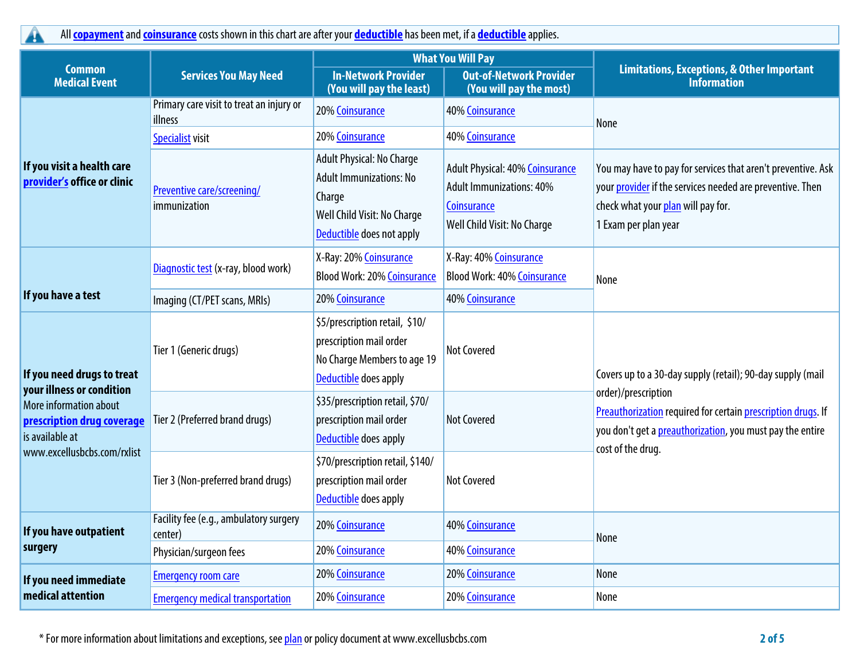**All copayment and coinsurance costs shown in this chart are after your deductible has been met, if a deductible applies.**

|                                                                         |                                                     |                                                                                                                                   | <b>What You Will Pay</b>                                                                                         | <b>Limitations, Exceptions, &amp; Other Important</b><br><b>Information</b>                                                                                                             |  |
|-------------------------------------------------------------------------|-----------------------------------------------------|-----------------------------------------------------------------------------------------------------------------------------------|------------------------------------------------------------------------------------------------------------------|-----------------------------------------------------------------------------------------------------------------------------------------------------------------------------------------|--|
| <b>Common</b><br><b>Medical Event</b>                                   | <b>Services You May Need</b>                        | <b>In-Network Provider</b><br>(You will pay the least)                                                                            | <b>Out-of-Network Provider</b><br>(You will pay the most)                                                        |                                                                                                                                                                                         |  |
|                                                                         | Primary care visit to treat an injury or<br>illness | 20% Coinsurance                                                                                                                   | 40% Coinsurance                                                                                                  | None                                                                                                                                                                                    |  |
|                                                                         | <b>Specialist visit</b>                             | 20% Coinsurance                                                                                                                   | <b>40% Coinsurance</b>                                                                                           |                                                                                                                                                                                         |  |
| If you visit a health care<br>provider's office or clinic               | Preventive care/screening/<br>immunization          | Adult Physical: No Charge<br><b>Adult Immunizations: No</b><br>Charge<br>Well Child Visit: No Charge<br>Deductible does not apply | Adult Physical: 40% Coinsurance<br><b>Adult Immunizations: 40%</b><br>Coinsurance<br>Well Child Visit: No Charge | You may have to pay for services that aren't preventive. Ask<br>your provider if the services needed are preventive. Then<br>check what your plan will pay for.<br>1 Exam per plan year |  |
|                                                                         | Diagnostic test (x-ray, blood work)                 | X-Ray: 20% Coinsurance<br><b>Blood Work: 20% Coinsurance</b>                                                                      | X-Ray: 40% Coinsurance<br><b>Blood Work: 40% Coinsurance</b>                                                     | None                                                                                                                                                                                    |  |
| If you have a test                                                      | Imaging (CT/PET scans, MRIs)                        | 20% Coinsurance                                                                                                                   | <b>40% Coinsurance</b>                                                                                           |                                                                                                                                                                                         |  |
| If you need drugs to treat<br>your illness or condition                 | Tier 1 (Generic drugs)                              | \$5/prescription retail, \$10/<br>prescription mail order<br>No Charge Members to age 19<br>Deductible does apply                 | <b>Not Covered</b>                                                                                               | Covers up to a 30-day supply (retail); 90-day supply (mail                                                                                                                              |  |
| More information about<br>prescription drug coverage<br>is available at | Tier 2 (Preferred brand drugs)                      | \$35/prescription retail, \$70/<br>prescription mail order<br>Deductible does apply                                               | <b>Not Covered</b>                                                                                               | order)/prescription<br>Preauthorization required for certain prescription drugs. If<br>you don't get a preauthorization, you must pay the entire<br>cost of the drug.                   |  |
| www.excellusbcbs.com/rxlist                                             | Tier 3 (Non-preferred brand drugs)                  | \$70/prescription retail, \$140/<br>prescription mail order<br>Deductible does apply                                              | <b>Not Covered</b>                                                                                               |                                                                                                                                                                                         |  |
| If you have outpatient                                                  | Facility fee (e.g., ambulatory surgery<br>center)   | 20% Coinsurance                                                                                                                   | <b>40% Coinsurance</b>                                                                                           | <b>None</b>                                                                                                                                                                             |  |
| surgery                                                                 | Physician/surgeon fees                              | 20% Coinsurance                                                                                                                   | <b>40% Coinsurance</b>                                                                                           |                                                                                                                                                                                         |  |
| If you need immediate                                                   | <b>Emergency room care</b>                          | 20% Coinsurance                                                                                                                   | 20% Coinsurance                                                                                                  | None                                                                                                                                                                                    |  |
| medical attention                                                       | <b>Emergency medical transportation</b>             | 20% Coinsurance                                                                                                                   | 20% Coinsurance                                                                                                  | None                                                                                                                                                                                    |  |

**\* For more information about limitations and exceptions, see plan or policy document at www.excellusbcbs.com 2 of 5**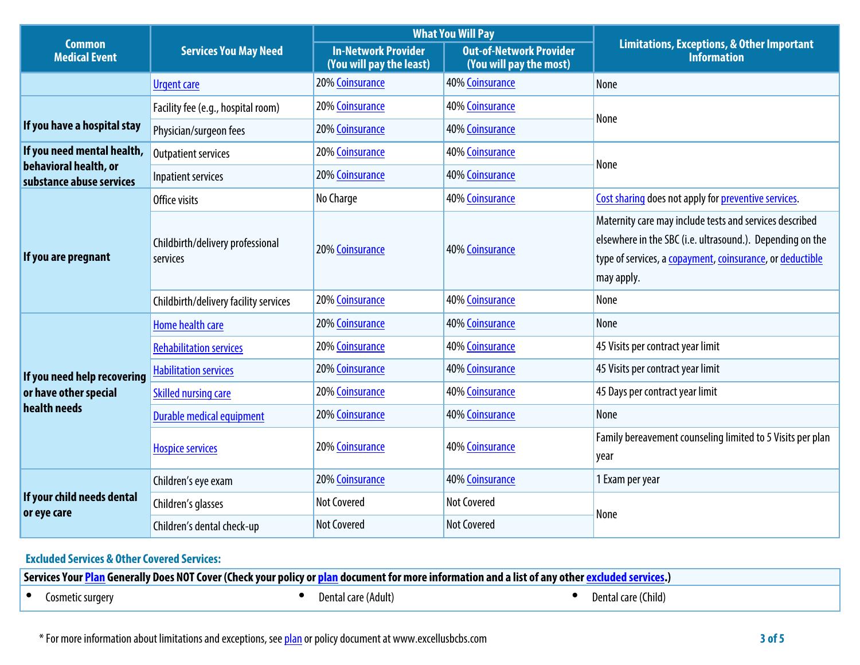|                                                   |                                              |                                                        | <b>What You Will Pay</b>                                  | <b>Limitations, Exceptions, &amp; Other Important</b><br><b>Information</b>                                                                                                                     |  |
|---------------------------------------------------|----------------------------------------------|--------------------------------------------------------|-----------------------------------------------------------|-------------------------------------------------------------------------------------------------------------------------------------------------------------------------------------------------|--|
| <b>Common</b><br><b>Medical Event</b>             | <b>Services You May Need</b>                 | <b>In-Network Provider</b><br>(You will pay the least) | <b>Out-of-Network Provider</b><br>(You will pay the most) |                                                                                                                                                                                                 |  |
| <b>Urgent care</b>                                |                                              | 20% Coinsurance                                        | <b>40% Coinsurance</b>                                    | None                                                                                                                                                                                            |  |
|                                                   | Facility fee (e.g., hospital room)           | 20% Coinsurance                                        | <b>40% Coinsurance</b>                                    |                                                                                                                                                                                                 |  |
| If you have a hospital stay                       | Physician/surgeon fees                       | 20% Coinsurance                                        | <b>40% Coinsurance</b>                                    | None                                                                                                                                                                                            |  |
| If you need mental health,                        | <b>Outpatient services</b>                   | 20% Coinsurance                                        | <b>40% Coinsurance</b>                                    | None                                                                                                                                                                                            |  |
| behavioral health, or<br>substance abuse services | Inpatient services                           | 20% Coinsurance                                        | <b>40% Coinsurance</b>                                    |                                                                                                                                                                                                 |  |
|                                                   | Office visits                                | No Charge                                              | <b>40% Coinsurance</b>                                    | Cost sharing does not apply for preventive services.                                                                                                                                            |  |
| If you are pregnant                               | Childbirth/delivery professional<br>services | 20% Coinsurance                                        | <b>40% Coinsurance</b>                                    | Maternity care may include tests and services described<br>elsewhere in the SBC (i.e. ultrasound.). Depending on the<br>type of services, a copayment, coinsurance, or deductible<br>may apply. |  |
|                                                   | Childbirth/delivery facility services        | 20% Coinsurance                                        | <b>40% Coinsurance</b>                                    | None                                                                                                                                                                                            |  |
|                                                   | Home health care                             | 20% Coinsurance                                        | 40% Coinsurance                                           | None                                                                                                                                                                                            |  |
|                                                   | <b>Rehabilitation services</b>               | <b>20% Coinsurance</b>                                 | <b>40% Coinsurance</b>                                    | 45 Visits per contract year limit                                                                                                                                                               |  |
| If you need help recovering                       | <b>Habilitation services</b>                 | 20% Coinsurance                                        | <b>40% Coinsurance</b>                                    | 45 Visits per contract year limit                                                                                                                                                               |  |
| or have other special                             | <b>Skilled nursing care</b>                  | 20% Coinsurance                                        | <b>40% Coinsurance</b>                                    | 45 Days per contract year limit                                                                                                                                                                 |  |
| health needs                                      | <b>Durable medical equipment</b>             | 20% Coinsurance                                        | <b>40% Coinsurance</b>                                    | None                                                                                                                                                                                            |  |
|                                                   | <b>Hospice services</b>                      | 20% Coinsurance                                        | <b>40% Coinsurance</b>                                    | Family bereavement counseling limited to 5 Visits per plan<br>year                                                                                                                              |  |
|                                                   | Children's eye exam                          | 20% Coinsurance                                        | <b>40% Coinsurance</b>                                    | 1 Exam per year                                                                                                                                                                                 |  |
| If your child needs dental<br>or eye care         | Children's glasses                           | <b>Not Covered</b>                                     | <b>Not Covered</b>                                        | None                                                                                                                                                                                            |  |
|                                                   | Children's dental check-up                   | <b>Not Covered</b>                                     | <b>Not Covered</b>                                        |                                                                                                                                                                                                 |  |

# **Excluded Services & Other Covered Services:**

| Services Your Plan Generally Does NOT Cover (Check your policy or plan document for more information and a list of any other exc<br>cluded services.) |                  |  |                     |  |                     |  |  |
|-------------------------------------------------------------------------------------------------------------------------------------------------------|------------------|--|---------------------|--|---------------------|--|--|
|                                                                                                                                                       | Cosmetic surgery |  | Dental care (Adult) |  | Dental care (Child) |  |  |

**\* For more information about limitations and exceptions, see plan or policy document at www.excellusbcbs.com 3 of 5**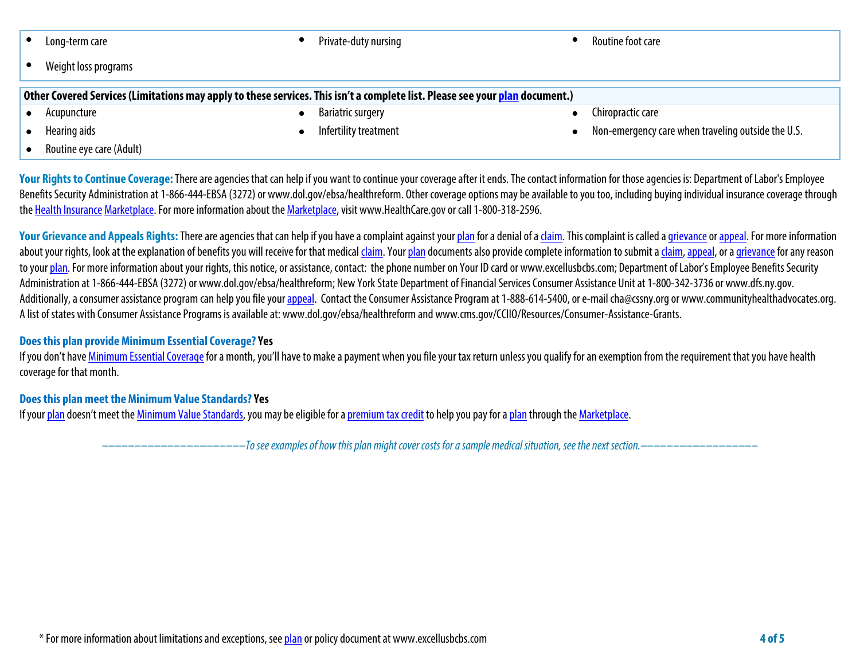# **• Long-term care • Private-duty nursing • Routine foot care**

**• Weight loss programs**

| Other Covered Services (Limitations may apply to these services. This isn't a complete list. Please see your <mark>plan</mark> document.) |  |                          |  |                   |  |  |  |
|-------------------------------------------------------------------------------------------------------------------------------------------|--|--------------------------|--|-------------------|--|--|--|
| Acupuncture                                                                                                                               |  | <b>Bariatric surgery</b> |  | Chiropractic care |  |  |  |

- 
- 
- **• Routine eye care (Adult)**

- 
- **• Hearing aids • Infertility treatment • Non-emergency care when traveling outside the U.S.**

Your Rights to Continue Coverage: There are agencies that can help if you want to continue your coverage after it ends. The contact information for those agencies is: Department of Labor's Employee **Benefits Security Administration at 1-866-444-EBSA (3272) or www.dol.gov/ebsa/healthreform. Other coverage options may be available to you too, including buying individual insurance coverage through the Health Insurance Marketplace. For more information about the Marketplace, visit www.HealthCare.gov or call 1-800-318-2596.**

Your Grievance and Appeals Rights: There are agencies that can help if you have a complaint against your plan for a denial of a claim. This complaint is called a grievance or appeal. For more information about your rights, look at the explanation of benefits you will receive for that medical claim. Your plan documents also provide complete information to submit a claim, appeal, or a grievance for any reason **to your plan. For more information about your rights, this notice, or assistance, contact: the phone number on Your ID card or www.excellusbcbs.com; Department of Labor's Employee Benefits Security Administration at 1-866-444-EBSA (3272) or www.dol.gov/ebsa/healthreform; New York State Department of Financial Services Consumer Assistance Unitat 1-800-342-3736 or www.dfs.ny.gov.**  Additionally, a consumer assistance program can help you file your appeal. Contact the Consumer Assistance Program at 1-888-614-5400, or e-mail cha@cssny.org or www.communityhealthadvocates.org. **A list of states with Consumer Assistance Programs is available at: www.dol.gov/ebsa/healthreform and www.cms.gov/CCIIO/Resources/Consumer-Assistance-Grants.**

# **Does this plan provide Minimum Essential Coverage? Yes**

If you don't have Minimum Essential Coverage for a month, you'll have to make a payment when you file your tax return unless you qualify for an exemption from the requirement that you have health **coverage for that month.**

# **Does this plan meet the Minimum Value Standards? Yes**

**If your plan doesn't meet the Minimum Value Standards, you may be eligible for a premium tax credit to help you pay for a plan through the Marketplace.**

**––––––––––––––––––––––***To see examples of how this plan might cover costs for a sample medical situation, see the next section.–––––––––––***–––––––**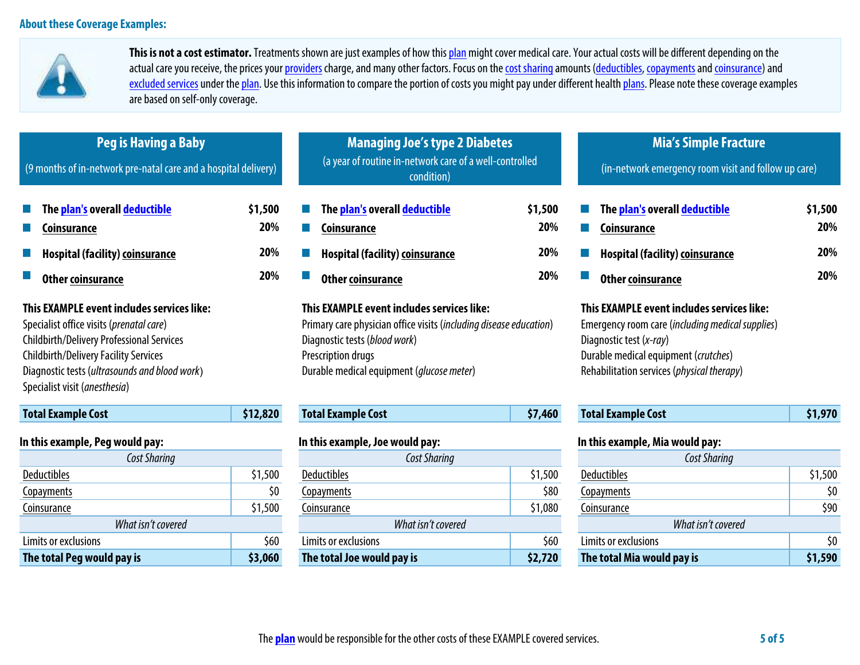

**This is not a cost estimator. Treatments shown are just examples of how this plan might cover medical care. Your actual costs will be different depending on the**  actual care you receive, the prices your providers charge, and many other factors. Focus on the cost sharing amounts (deductibles, copayments and coinsurance) and excluded services under the plan. Use this information to compare the portion of costs you might pay under different health plans. Please note these coverage examples **are based on self-only coverage.**

| <b>Peg is Having a Baby</b><br>(9 months of in-network pre-natal care and a hospital delivery)                                                                                                                                                                               |          | <b>Managing Joe's type 2 Diabetes</b><br>(a year of routine in-network care of a well-controlled<br>condition)                                                                                                       |                       | <b>Mia's Simple Fracture</b><br>(in-network emergency room visit and follow up care)                                                                                                                            |                       |  |
|------------------------------------------------------------------------------------------------------------------------------------------------------------------------------------------------------------------------------------------------------------------------------|----------|----------------------------------------------------------------------------------------------------------------------------------------------------------------------------------------------------------------------|-----------------------|-----------------------------------------------------------------------------------------------------------------------------------------------------------------------------------------------------------------|-----------------------|--|
| The <mark>plan's</mark> overall <mark>deductible</mark><br>\$1,500<br>20%<br>Coinsurance<br>20%                                                                                                                                                                              |          | The plan's overall deductible<br><b>Coinsurance</b><br><b>Hospital (facility) coinsurance</b>                                                                                                                        | \$1,500<br>20%<br>20% | The plan's overall deductible<br><b>Coinsurance</b><br><b>Hospital (facility) coinsurance</b>                                                                                                                   | \$1,500<br>20%<br>20% |  |
| <b>Hospital (facility) coinsurance</b><br>Other coinsurance                                                                                                                                                                                                                  | 20%      | 20%<br><b>Other coinsurance</b>                                                                                                                                                                                      |                       | <b>Other coinsurance</b>                                                                                                                                                                                        | 20%                   |  |
| This EXAMPLE event includes services like:<br>Specialist office visits (prenatal care)<br><b>Childbirth/Delivery Professional Services</b><br><b>Childbirth/Delivery Facility Services</b><br>Diagnostic tests (ultrasounds and blood work)<br>Specialist visit (anesthesia) |          | This EXAMPLE event includes services like:<br>Primary care physician office visits (including disease education)<br>Diagnostic tests (blood work)<br>Prescription drugs<br>Durable medical equipment (glucose meter) |                       | This EXAMPLE event includes services like:<br>Emergency room care (including medical supplies)<br>Diagnostic test (x-ray)<br>Durable medical equipment (crutches)<br>Rehabilitation services (physical therapy) |                       |  |
| <b>Total Example Cost</b>                                                                                                                                                                                                                                                    | \$12,820 | <b>Total Example Cost</b>                                                                                                                                                                                            | \$7,460               | <b>Total Example Cost</b>                                                                                                                                                                                       | \$1,970               |  |
| In this example, Peg would pay:<br><b>Cost Sharing</b>                                                                                                                                                                                                                       |          | In this example, Joe would pay:<br><b>Cost Sharing</b>                                                                                                                                                               |                       | In this example, Mia would pay:<br><b>Cost Sharing</b>                                                                                                                                                          |                       |  |
| <b>Deductibles</b><br>\$1,500                                                                                                                                                                                                                                                |          | Deductibles<br>\$1,500<br><b>Deductibles</b>                                                                                                                                                                         |                       |                                                                                                                                                                                                                 | \$1,500               |  |
| \$0<br>Copayments                                                                                                                                                                                                                                                            |          | Copayments                                                                                                                                                                                                           | \$80                  | Copayments                                                                                                                                                                                                      | \$0                   |  |
| Coinsurance                                                                                                                                                                                                                                                                  | \$1,500  | \$1,080<br>Coinsurance<br>Coinsurance                                                                                                                                                                                |                       |                                                                                                                                                                                                                 | \$90                  |  |
| What isn't covered                                                                                                                                                                                                                                                           |          | What isn't covered                                                                                                                                                                                                   |                       | What isn't covered                                                                                                                                                                                              |                       |  |

Limits or exclusions **by the contract of the secular set of the set of the set of the set of the set of the set of the set of the set of the set of the set of the set of the set of the set of the set of the set of the set The total Peg would pay is \$3,060 The total Joe would pay is \$2,720 The total Mia would pay is \$1,590**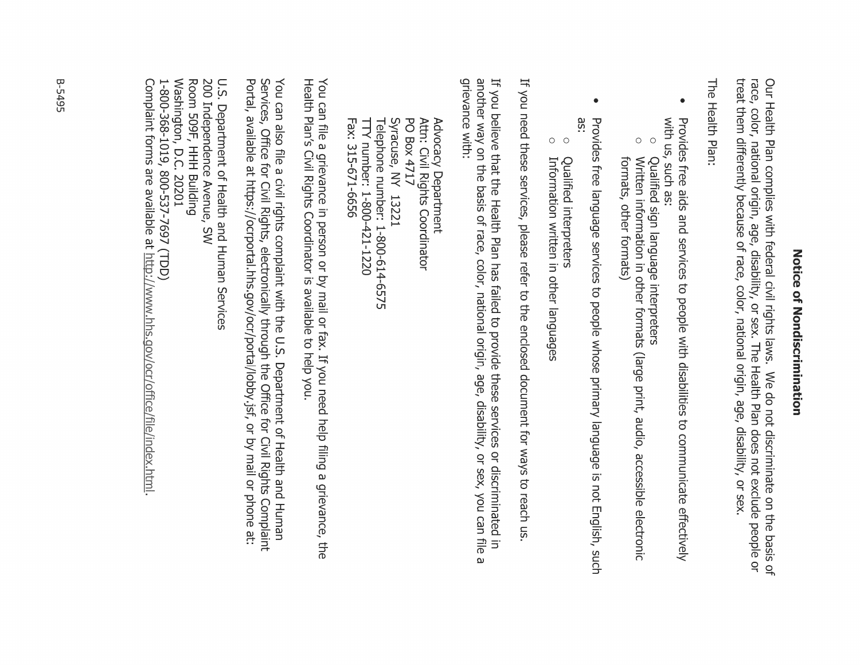# Zotice of Zondiscrimination

Our Health Plan complies with federal civil rights laws. We do not discriminate on the basis of<br>race, color, national origin, age, disability, or sex. The Health Plan does not exclude people or treat them differently because of race, color, national origin, age, disability, or sex

The Health Plan:

- with us, such as: Provides free aids and services to people with disabilities to communicate effectively
- $\circ$ Qualified sign language interpreters
- $\bigcirc$ Written information in other formats (large print, audio, accessible electronic formats, other formats)
- $\bullet$ äS. Provides free language services to people whose primary language is not English, such
- $\circ$ Qualified interpreters
- $\circ$ Information written in other languages

If you need these services, please refer to the enclosed document for ways to reach us

another way on the basis of race, color, national origin, age, disability, or sex, you can file grievance with: If you believe that the Health Plan has failed to provide these services or discriminated in ω

Telephone number: 1-800-614-6575 Syracuse, NY 13221 PO Box 4717 Attn: Civil Rights Coordinator Fax: 315-671-6656 TTY number: 1-800-421-1220 Advocacy Department

Health Plan's Civil Rights Coordinator is available to help you. You can file a grievance in person or by mail or fax. If you need help filing a grievance, the

Portal, available at https://ocrportal.hhs.gov/ocr/portal/lobby.jsf, or by mail or phone at: Services, Office for Civil Rights, electronically through the Office for Civil Rights Complaint You can also file a civil rights complaint with the U.S. Department of Health and Human

Washington, D.C. 20201 Room 509F, HHH Building 200 Independence Avenue, SW U.S. Department of Health and Human Services 1-800-368-1019, 800-537-7697 (TDD)

Complaint forms are available at http://www.hhs.gov/ocr/office/file/index.html